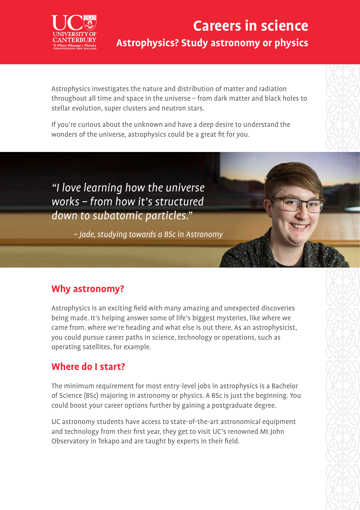

# **Careers in science Astrophysics? Study astronomy or physics**

Astrophysics investigates the nature and distribution of matter and radiation throughout all time and space in the universe – from dark matter and black holes to stellar evolution, super clusters and neutron stars.

If you're curious about the unknown and have a deep desire to understand the wonders of the universe, astrophysics could be a great fit for you.

"I love learning how the universe works – from how it's structured down to subatomic particles."

– Jade, studying towards a BSc in Astronomy

### **Why astronomy?**

Astrophysics is an exciting field with many amazing and unexpected discoveries being made. It's helping answer some of life's biggest mysteries, like where we came from, where we're heading and what else is out there. As an astrophysicist, you could pursue career paths in science, technology or operations, such as operating satellites, for example.

### **Where do I start?**

The minimum requirement for most entry-level jobs in astrophysics is a Bachelor of Science (BSc) majoring in astronomy or physics. A BSc is just the beginning. You could boost your career options further by gaining a postgraduate degree.

UC astronomy students have access to state-of-the-art astronomical equipment and technology from their first year, they get to visit UC's renowned Mt John Observatory in Tekapo and are taught by experts in their field.